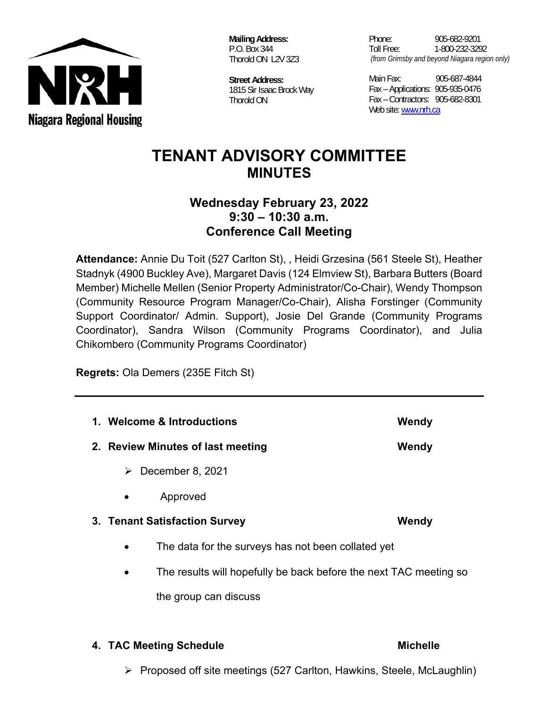

 **Mailing Address:**  P.O. Box 344 Thorold ON L2V 3Z3

**Street Address:**  1815 Sir Isaac Brock Way Thorold ON

Phone: 905-682-9201 Toll Free: 1-800-232-3292  *(from Grimsby and beyond Niagara region only)* 

Main Fax: 905-687-4844 Fax – Applications: 905-935-0476 Fax – Contractors: 905-682-8301 Web site: www.nrh.ca

# **TENANT ADVISORY COMMITTEE MINUTES**

## **Wednesday February 23, 2022 9:30 – 10:30 a.m. Conference Call Meeting**

**Attendance:** Annie Du Toit (527 Carlton St), , Heidi Grzesina (561 Steele St), Heather Stadnyk (4900 Buckley Ave), Margaret Davis (124 Elmview St), Barbara Butters (Board Member) Michelle Mellen (Senior Property Administrator/Co-Chair), Wendy Thompson (Community Resource Program Manager/Co-Chair), Alisha Forstinger (Community Support Coordinator/ Admin. Support), Josie Del Grande (Community Programs Coordinator), Sandra Wilson (Community Programs Coordinator), and Julia Chikombero (Community Programs Coordinator)

**Regrets:** Ola Demers (235E Fitch St)

| 1. Welcome & Introductions        | Wendy                                                             |       |
|-----------------------------------|-------------------------------------------------------------------|-------|
| 2. Review Minutes of last meeting |                                                                   | Wendy |
| ➤                                 | December 8, 2021                                                  |       |
|                                   | Approved                                                          |       |
|                                   | 3. Tenant Satisfaction Survey<br>Wendy                            |       |
| $\bullet$                         | The data for the surveys has not been collated yet                |       |
| $\bullet$                         | The results will hopefully be back before the next TAC meeting so |       |
|                                   | the group can discuss                                             |       |
|                                   |                                                                   |       |

**4. TAC Meeting Schedule**  Michelle **Michelle** 

 $\triangleright$  Proposed off site meetings (527 Carlton, Hawkins, Steele, McLaughlin)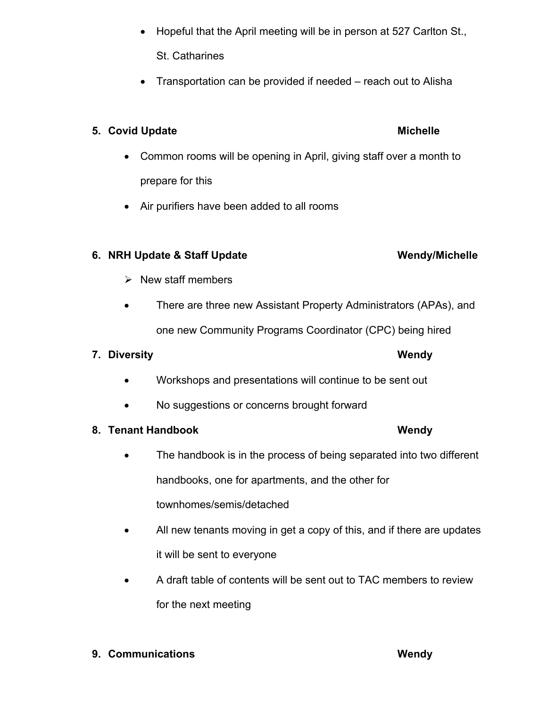- Hopeful that the April meeting will be in person at 527 Carlton St., St. Catharines
- Transportation can be provided if needed reach out to Alisha

### **5. Covid Update Michelle 2018** Michelle

- Common rooms will be opening in April, giving staff over a month to prepare for this
- Air purifiers have been added to all rooms

### **6. NRH Update & Staff Update Wendy/Michelle**

- $\triangleright$  New staff members
- There are three new Assistant Property Administrators (APAs), and one new Community Programs Coordinator (CPC) being hired

### **7. Diversity Wendy**

- Workshops and presentations will continue to be sent out
- No suggestions or concerns brought forward

### **8. Tenant Handbook Wendy Wendy Research Wendy Research Wendy Research Wendy Research Wendy Research Wendy Research Wendy Research Media and Media and Media and Media and Media and Media and Media and Media and Media and M**

- The handbook is in the process of being separated into two different handbooks, one for apartments, and the other for townhomes/semis/detached
- All new tenants moving in get a copy of this, and if there are updates it will be sent to everyone
- A draft table of contents will be sent out to TAC members to review for the next meeting

### **9. Communications Wendy Wendy Communications**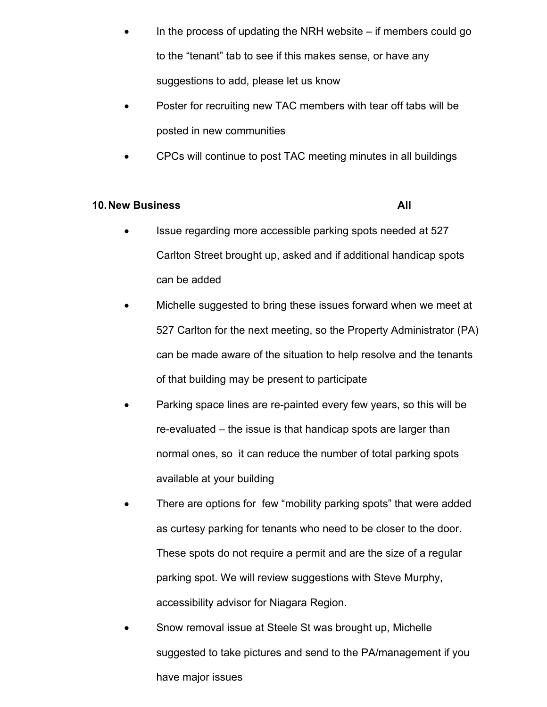- In the process of updating the NRH website if members could go to the "tenant" tab to see if this makes sense, or have any suggestions to add, please let us know
- Poster for recruiting new TAC members with tear off tabs will be posted in new communities
- CPCs will continue to post TAC meeting minutes in all buildings

### **10. New Business All 2008 CONTROLLY A LIMIT AND ALL 2008 ALL 2008 ALL 2008 ALL 2008 ALL 2008 ALL 2008 ALL 2008**

- Issue regarding more accessible parking spots needed at 527 Carlton Street brought up, asked and if additional handicap spots can be added
- Michelle suggested to bring these issues forward when we meet at 527 Carlton for the next meeting, so the Property Administrator (PA) can be made aware of the situation to help resolve and the tenants of that building may be present to participate
- Parking space lines are re-painted every few years, so this will be re-evaluated – the issue is that handicap spots are larger than normal ones, so it can reduce the number of total parking spots available at your building
- There are options for few "mobility parking spots" that were added as curtesy parking for tenants who need to be closer to the door. These spots do not require a permit and are the size of a regular parking spot. We will review suggestions with Steve Murphy, accessibility advisor for Niagara Region.
- Snow removal issue at Steele St was brought up, Michelle suggested to take pictures and send to the PA/management if you have major issues